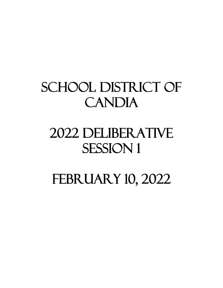# SCHOOL DISTRICT OF CANDIA

## 2022 DELIBERATIVE SESSION 1

## FEBRUARY 10, 2022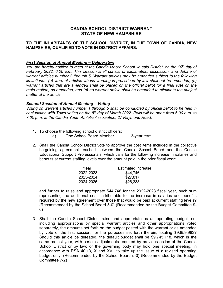#### **CANDIA SCHOOL DISTRICT WARRANT STATE OF NEW HAMPSHIRE**

#### **TO THE INHABITANTS OF THE SCHOOL DISTRICT, IN THE TOWN OF CANDIA, NEW HAMPSHIRE, QUALIFIED TO VOTE IN DISTRICT AFFAIRS:**

#### *First Session of Annual Meeting – Deliberative*

*You are hereby notified to meet at the Candia Moore School, in said District, on the 10th day of February 2022, 6:00 p.m. This session shall consist of explanation, discussion, and debate of warrant articles number 2 through 5. Warrant articles may be amended subject to the following limitations: (a) warrant articles whose wording is prescribed by law shall not be amended, (b) warrant articles that are amended shall be placed on the official ballot for a final vote on the main motion, as amended, and (c) no warrant article shall be amended to eliminate the subject matter of the article.*

#### *Second Session of Annual Meeting – Voting*

*Voting on warrant articles number 1 through 5 shall be conducted by official ballot to be held in conjunction with Town voting on the 8th day of March 2022. Polls will be open from 6:00 a.m. to 7:00 p.m. at the Candia Youth Athletic Association, 27 Raymond Road.*

1. To choose the following school district officers:

a) One School Board Member 3-year term

2. Shall the Candia School District vote to approve the cost items included in the collective bargaining agreement reached between the Candia School Board and the Candia Educational Support Professionals, which calls for the following increase in salaries and benefits at current staffing levels over the amount paid in the prior fiscal year:

| <b>Estimated Increase</b> |
|---------------------------|
| \$44,746                  |
| \$27,817                  |
| \$26,333                  |
|                           |

and further to raise and appropriate \$44,746 for the 2022-2023 fiscal year, such sum representing the additional costs attributable to the increase in salaries and benefits required by the new agreement over those that would be paid at current staffing levels? (Recommended by the School Board 5-0) (Recommended by the Budget Committee 9- 0)

3. Shall the Candia School District raise and appropriate as an operating budget, not including appropriations by special warrant articles and other appropriations voted separately, the amounts set forth on the budget posted with the warrant or as amended by vote of the first session, for the purposes set forth therein, totaling \$9,859,983? Should this article be defeated, the default budget shall be \$9,745,118, which is the same as last year, with certain adjustments required by previous action of the Candia School District or by law; or the governing body may hold one special meeting, in accordance with RSA 40:13, X and XVI, to take up the issue of a revised operating budget only. (Recommended by the School Board 5-0) (Recommended by the Budget Committee 7-2)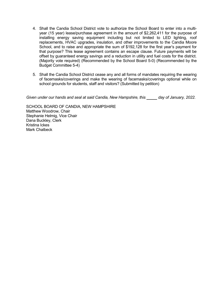- 4. Shall the Candia School District vote to authorize the School Board to enter into a multiyear (15 year) lease/purchase agreement in the amount of \$2,262,411 for the purpose of installing energy saving equipment including but not limited to LED lighting, roof replacements, HVAC upgrades, insulation, and other improvements to the Candia Moore School, and to raise and appropriate the sum of \$192,128 for the first year's payment for that purpose? This lease agreement contains an escape clause. Future payments will be offset by guaranteed energy savings and a reduction in utility and fuel costs for the district. (Majority vote required) (Recommended by the School Board 5-0) (Recommended by the Budget Committee 5-4)
- 5. Shall the Candia School District cease any and all forms of mandates requiring the wearing of facemasks/coverings and make the wearing of facemasks/coverings optional while on school grounds for students, staff and visitors? (Submitted by petition)

Given under our hands and seal at said Candia, New Hampshire, this **company of January**, 2022.

SCHOOL BOARD OF CANDIA, NEW HAMPSHIRE Matthew Woodrow, Chair Stephanie Helmig, Vice Chair Dana Buckley, Clerk Kristina Ickes Mark Chalbeck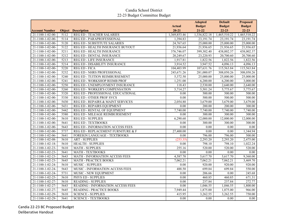|                           |               |                                          |                   | <b>Adopted</b>     | <b>Default</b> | <b>Proposed</b> |
|---------------------------|---------------|------------------------------------------|-------------------|--------------------|----------------|-----------------|
|                           |               |                                          | <b>Actual</b>     | <b>Budget</b>      | <b>Budget</b>  | <b>Budget</b>   |
| <b>Account Number</b>     | <b>Object</b> | <b>Description</b>                       | $20 - 21$         | $21 - 22$          | $22 - 23$      | $22 - 23$       |
| 21-1100-1-02-00-          | 5112          | <b>REG ED - TEACHER SALARIES</b>         | 1,369,853.46      | 1,336,822.18       | 1,465,510.22   | 1,465,510.22    |
| 21-1100-1-02-00-          | 5114          | REG ED - PARAPROFESSIONAL                | 1,394.83          | 23,191.74          | 23,191.74      | 23,191.74       |
| 21-1100-1-02-00-          | 5120          | REG ED - SUBSTITUTE SALARIES             | 24,767.65         | 25,000.00          | 25,000.00      | 25,000.00       |
| 21-1100-1-02-00-          | 5122          | REG ED - HEALTH INSURANCE BUYOUT         | 21,936.64         | 21,936.65          | 21,936.65      | 21,936.65       |
| 21-1100-1-02-00-          | 5211          | REG ED - HEALTH INSURANCE                | 376,746.07        | 399,302.40         | 438,002.37     | 438,002.37      |
| 21-1100-1-02-00-          | 5212          | REG ED - DENTAL INSURANCE                | 20,249.67         | 23,220.93          | 20,700.60      | 20,700.60       |
| $21 - 1100 - 1 - 02 - 00$ | 5213          | <b>REG ED - LIFE INSURANCE</b>           | 1,917.81          | 1,822.56           | 1,822.56       | 1,822.56        |
| 21-1100-1-02-00-          | 5214          | REG ED - DISABILITY INSURANCE            | 3,914.52          | 3,947.52           | 4,096.13       | 4,096.13        |
| 21-1100-1-02-00-          | 5220          | <b>REG ED - FICA</b>                     | 104,403.99        | 107,631.76         | 115,563.84     | 115,563.84      |
| $21-1100-1-02-00$         | 5232          | REG ED - NHRS PROFESSIONAL               | 245,671.26        | 281,000.07         | 308,050.26     | 308,050.26      |
| 21-1100-1-02-00-          | 5240          | REG ED - TUITION REIMBURSEMENT           | 5,372.50          | 25,000.00          | 25,000.00      | 25,000.00       |
| $21 - 1100 - 1 - 02 - 00$ | 5241          | REG ED - WORKSHOP REIMB PROF             | 1,251.00          | 6,200.00           | 6,200.00       | 3,000.00        |
| 21-1100-1-02-00-          | 5250          | REG ED - UNEMPLOYMENT INSURANCE          | 118.43            | 2,530.00           | 2,640.00       | 2,640.00        |
| 21-1100-1-02-00-          | 5260          | REG ED - WORKER'S COMPENSATION           | 5,714.27          | 5,501.24           | 5,775.67       | 5,775.67        |
| 21-1100-1-02-00-          | 5320          | REG ED - PROFESSIONAL EDUCATIONAL        | 0.00              | 500.00             | 500.00         | 500.00          |
| 21-1100-1-02-00-          | 5330          | <b>REG ED - OTHER PROF SVCS</b>          | 0.00              | 500.00             | 500.00         | 500.00          |
| 21-1100-1-02-00-          | 5430          | REG ED - REPAIRS & MAINT SERVICES        | 2,054.80          | 3,679.00           | 3,679.00       | 3,679.00        |
| 21-1100-1-02-00-          | 5431          | REG ED - REPAIRS EQUIPMENT               | 0.00              | 200.00             | 200.00         | 300.00          |
| 21-1100-1-02-00-          | 5442          | <b>REG ED - RENTAL OF EQUIPMENT</b>      | 7,740.00          | 7,740.00           | 7,740.00       | 7,740.00        |
| 21-1100-1-02-00-          | 5580          | REG ED - MILEAGE REIMBURSEMENT           | 0.00              | 300.00             | 300.00         | 300.00          |
| 21-1100-1-02-00-          | 5610          | <b>REG ED - SUPPLIES</b>                 | 6,290.60          | 12,000.00          | 12,000.00      | 12,000.00       |
| 21-1100-1-02-00-          | 5641          | <b>REG ED - TEXTBOOKS</b>                | 0.00              | 300.00             | 300.00         | 300.00          |
| 21-1100-1-02-00-          | 5643          | REG ED - INFORMATION ACCESS FEES         | 0.00              | 0.00               | 0.00           | 0.00            |
| $21-1100-1-02-00$         | 5737          | REG ED - REPLACEMENT FURNITURE & F       | 27,400.00         | 0.00               | 0.00           | 1,344.94        |
| 21-1100-1-02-06-          | 5641          | <b>FOREIGN LANGUAGE - TEXTBOOKS</b>      | 0.00              | 796.00             | 796.00         | 500.00          |
| 21-1100-1-02-08-          | 5610          | <b>ART - SUPPLIES</b>                    | (253.35)          | 2,293.20           | 2,293.20       | 2,475.00        |
| $21 - 1100 - 1 - 02 - 18$ | 5610          | <b>HEALTH - SUPPLIES</b>                 | $\overline{0.00}$ | 798.10             | 798.10         | 1,022.24        |
| 21-1100-1-02-23-          | 5610          | MATH - SUPPLIES                          | 255.16            | 520.00             | 520.00         | 520.00          |
| 21-1100-1-02-23-          | 5641          | MATH - TEXTBOOKS                         | 0.00              | 0.00               | 0.00           | 0.00            |
| 21-1100-1-02-23-          | 5643          | MATH - INFORMATION ACCESS FEES           | 4,587.70          | 5,617.70           | 5,617.70       | 9,360.00        |
| 21-1100-1-02-23-          | 5645          | <b>MATH - PRACTICE BOOKS</b>             | 7,062.21          | 7,062.21           | 7,062.21       | 3,469.70        |
| 21-1100-1-02-24-          | 5610          | <b>MUSIC - SUPPLIES</b>                  | 0.00              | $\frac{1}{920.00}$ | 920.00         | 920.00          |
| 21-1100-1-02-24-          | 5643          | MUSIC - INFORMATION ACCESS FEES          | 488.50            | 699.84             | 699.84         | 550.00          |
| 21-1100-1-02-24-          | 5731          | MUSIC - NEW EQUIPMENT                    | 0.00              | 206.66             | 0.00           | 245.68          |
| 21-1100-1-02-25-          | 5610          | PHYS ED - SUPPLIES                       | 0.00              | 460.85             | 460.85         | 671.31          |
| 21-1100-1-02-27-          | 5610          | <b>READING - SUPPLIES</b>                | 0.00              | 237.84             | 237.84         | 272.77          |
| 21-1100-1-02-27-          | 5643          | <b>READING - INFORMATION ACCESS FEES</b> | 0.00              | 1,046.55           | 1,046.55       | 1,800.00        |
| 21-1100-1-02-27-          | 5645          | <b>READING - PRACTICE BOOKS</b>          | 7,949.44          | 1,875.00           | 1,875.00       | 966.00          |
| 21-1100-1-02-29-          | 5610          | <b>SCIENCE - SUPPLIES</b>                | 415.95            | 3,262.55           | 3,262.55       | 750.00          |
| $21 - 1100 - 1 - 02 - 29$ | 5641          | <b>SCIENCE - TEXTBOOKS</b>               | 0.00              | 0.00               | 0.00           | 0.00            |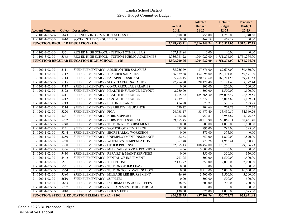|                           |      |                                                       |                            | <b>Adopted</b><br><b>Budget</b> | <b>Default</b>             | <b>Proposed</b>            |
|---------------------------|------|-------------------------------------------------------|----------------------------|---------------------------------|----------------------------|----------------------------|
| <b>Account Number</b>     |      | <b>Object Description</b>                             | <b>Actual</b><br>$20 - 21$ | $21 - 22$                       | <b>Budget</b><br>$22 - 23$ | <b>Budget</b><br>$22 - 23$ |
| $21 - 1100 - 1 - 02 - 29$ | 5643 | <b>SCIENCE - INFORMATION ACCESS FEES</b>              | 1,680.00                   | 1,755.00                        | 1,755.00                   | 1,940.60                   |
| $21-1100-1-02-30-$        | 5610 | <b>SOCIAL STUDIES - SUPPLIES</b>                      | 0.00                       | 469.19                          | 469.19                     | 0.00                       |
|                           |      | <b>FUNCTION: REGULAR EDUCATION - 1100</b>             | 2,248,983.11               | 2,316,346.74                    | 2,516,523.07               | 2,512,417.28               |
|                           |      |                                                       |                            |                                 |                            |                            |
| 21-1105-3-02-00-          | 5561 | REG ED HIGH SCHOOL - TUITION OTHER LEA'S              | 167,118.84                 | 0.00                            | 0.00                       | 0.00                       |
| 21-1105-3-02-00-          | 5563 | REG ED HIGH SCHOOL - TUITION PUBLIC ACADEMIES         | 1,736,081.22               | 1,904,022.00                    | 1,751,274.00               | 1,751,274.00               |
|                           |      | <b>FUNCTION: REGULAR EDUCATION HIGH SCHOOL - 1105</b> | 1,903,200.06               | 1,904,022.00                    | 1,751,274.00               | 1,751,274.00               |
|                           |      |                                                       |                            |                                 |                            |                            |
|                           |      |                                                       |                            |                                 |                            |                            |
| 21-1200-1-02-00-          | 5111 | SPED ELEMENTARY - ADMIN/OTHER SALARIES                | 85,956.79                  | 87,676.00                       | 87,676.00                  | 89,430.00                  |
| 21-1200-1-02-00-          | 5112 | SPED ELEMENTARY - TEACHER SALARIES                    | 136,879.88                 | 152,696.00                      | 150,491.00                 | 150,491.00                 |
| 21-1200-1-02-00-          | 5114 | SPED ELEMENTARY - PARAPROFESSIONAL                    | 105,764.15                 | 170,233.60                      | 169,211.53                 | 169,211.53                 |
| 21-1200-1-02-00-          | 5115 | SPED ELEMENTARY - SECRETARIAL SALARIES                | 27,254.80                  | 28,121.40                       | 28,121.40                  | 38,377.44                  |
| 21-1200-1-02-00-          | 5117 | SPED ELEMENTARY - CO-CURRICULAR SALARIES              | $0.00\,$                   | 100.00                          | 200.00                     | 200.00                     |
| 21-1200-1-02-00-          | 5122 | SPED ELEMENTARY - HEALTH INSURANCE BUYOUT             | 2,250.00                   | 1,500.00                        | 1,500.00                   | 1,500.00                   |
| 21-1200-1-02-00-          | 5211 | SPED ELEMENTARY - HEALTH INSURANCE                    | 104,915.82                 | 185,565.30                      | 195,093.47                 | 196,429.55                 |
| 21-1200-1-02-00-          | 5212 | SPED ELEMENTARY - DENTAL INSURANCE                    | 3,239.01                   | 4,272.13                        | 4,013.62                   | 5,189.24                   |
| 21-1200-1-02-00-          | 5213 | SPED ELEMENTARY - LIFE INSURANCE                      | 414.88                     | 570.72                          | 570.72                     | 593.28                     |
| 21-1200-1-02-00-          | 5214 | SPED ELEMENTARY - DISABILITY INSURANCE                | 570.12                     | 704.66                          | 707.77                     | 707.77                     |
| 21-1200-1-02-00-          | 5220 | SPED ELEMENTARY - FICA                                | 24,038.17                  | 33,677.40                       | 33,430.50                  | 34,349.26                  |
| 21-1200-1-02-00-          | 5231 | SPED ELEMENTARY - NHRS SUPPORT                        | 3,062.76                   | 3,953.87                        | 3,953.87                   | 5,395.87                   |
| 21-1200-1-02-00-          | 5232 | SPED ELEMENTARY - NHRS PROFESSIONAL                   | 39,555.45                  | 50,210.90                       | 50,062.71                  | 50,431.40                  |
| 21-1200-1-02-00-          | 5240 | SPED ELEMENTARY - TUITION REIMBURSEMENT               | 0.00                       | 1,800.00                        | 1,800.00                   | 1,800.00                   |
| 21-1200-1-02-00-          | 5241 | SPED ELEMENTARY - WORKSHOP REIMB PROF                 | 375.00                     | 795.00                          | 795.00                     | 795.00                     |
| 21-1200-1-02-00-          | 5244 | SPED ELEMENTARY - SECRETARIAL WORKSHOP                | $\overline{0.00}$          | 375.00                          | 375.00                     | 0.00                       |
| 21-1200-1-02-00-          | 5250 | SPED ELEMENTARY - UNEMPLOYMENT INSURANCE              | 82.63                      | 1,650.00                        | 1,870.00                   | 1,870.00                   |
| 21-1200-1-02-00-          | 5260 | SPED ELEMENTARY - WORKER'S COMPENSATION               | 1,967.48                   | 1,770.78                        | 1,988.41                   | 1,988.41                   |
| 21-1200-1-02-00-          | 5330 | SPED ELEMENTARY - OTHER PROF SVCS                     | 132,355.13                 | 188,452.00                      | 179,786.73                 | 179,786.73                 |
| 21-1200-1-02-00-          | 5336 | SPED ELEMENTARY - MEDICAID SERVICE PROVIDER           | 4.06                       | 5,000.00                        | 0.00                       | 0.00                       |
| 21-1200-1-02-00-          | 5430 | SPED ELEMENTARY - REPAIRS & MAINT SERVICES            | 0.00                       | 350.00                          | 350.00                     | 350.00                     |
| 21-1200-1-02-00-          | 5442 | SPED ELEMENTARY - RENTAL OF EQUIPMENT                 | 1,793.05                   | 1,500.00                        | 1,500.00                   | 1,500.00                   |
| 21-1200-1-02-00-          | 5531 | SPED ELEMENTARY - TELEPHONE                           | 2,133.92                   | 1,850.00                        | 2,000.00                   | 2,000.00                   |
| 21-1200-1-02-00-          | 5561 | SPED ELEMENTARY - TUITION OTHER LEA'S                 | 0.00                       | 0.00                            | 0.00                       | 0.00                       |
| 21-1200-1-02-00-          | 5564 | SPED ELEMENTARY - TUITION TO PRIVATE SCHOOL           | 0.00                       | 9,210.00                        | 16,000.00                  | 16,000.00                  |
| 21-1200-1-02-00-          | 5580 | SPED ELEMENTARY - MILEAGE REIMBURSEMENT               | 446.80                     | 3,500.00                        | 3,500.00                   | 3,500.00                   |
| 21-1200-1-02-00-          | 5610 | SPED ELEMENTARY - SUPPLIES                            | $\overline{0.00}$          | 500.00                          | 500.00                     | 500.00                     |
| $21 - 1200 - 1 - 02 - 00$ | 5643 | SPED ELEMENTARY - INFORMATION ACCESS FEES             | 38.85                      | 200.00                          | 200.00                     | 200.00                     |
| 21-1200-1-02-00-          | 5737 | SPED ELEMENTARY - REPLACEMENT FURNITURE & F           | 0.00                       | $0.00\,$                        | 0.00                       | 0.00                       |
| 21-1200-1-02-00-          | 5810 | SPED ELEMENTARY - DUES & FEES                         | 1,130.00                   | 1,075.00                        | 1,075.00                   | 1,075.00                   |
|                           |      | <b>FUNCTION: SPECIAL EDUCATION ELEMENTARY - 1200</b>  | 674,228.75                 | 937,309.76                      | 936,772.73                 | 953,671.48                 |
|                           |      |                                                       |                            |                                 |                            |                            |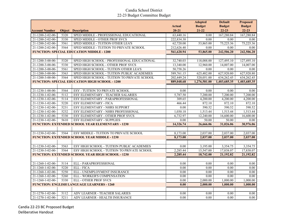|                       |      |                                                          | <b>Actual</b> | <b>Adopted</b><br><b>Budget</b> | <b>Default</b><br><b>Budget</b> | <b>Proposed</b><br><b>Budget</b> |
|-----------------------|------|----------------------------------------------------------|---------------|---------------------------------|---------------------------------|----------------------------------|
| <b>Account Number</b> |      | <b>Object Description</b>                                | $20 - 21$     | $21 - 22$                       | $22 - 23$                       | $22 - 23$                        |
| 21-1200-2-02-00-      | 5320 | SPED MIDDLE - PROFESSIONAL EDUCATIONAL                   | 63,440.16     | 0.00                            | 167,280.84                      | 167,280.84                       |
| 21-1200-2-02-00-      | 5330 | SPED MIDDLE - OTHER PROF SVCS                            | 222,834.38    | 0.00                            | 0.00                            | 0.00                             |
| 21-1200-2-02-00-      | 5561 | SPED MIDDLE - TUITION OTHER LEA'S                        | 62,720.00     | 53,865.00                       | 75,225.36                       | 75,225.36                        |
| 21-1200-2-02-00-      | 5564 | SPED MIDDLE - TUITION TO PRIVATE SCHOOL                  | 212,626.40    | 0.00                            | 0.00                            | 0.00                             |
|                       |      | <b>FUNCTION: SPECIAL EDUCATION MIDDLE - 1200</b>         | 561,620.94    | 53,865.00                       | 242,506.20                      | 242,506.20                       |
|                       |      |                                                          |               |                                 |                                 |                                  |
| 21-1200-3-00-00-      | 5320 | SPED HIGH SCHOOL - PROFESSIONAL EDUCATIONAL              | 32,740.03     | 118,088.00                      | 127,495.10                      | 127,495.10                       |
| 21-1200-3-00-00-      | 5330 | SPED HIGH SCHOOL - OTHER PROF SVCS                       | 13,340.00     | 12,960.00                       | 14,007.00                       | 14,007.00                        |
| 21-1200-3-00-00-      | 5561 | SPED HIGH SCHOOL - TUITION OTHER LEA'S                   | 50,758.26     | 0.00                            | 0.00                            | 0.00                             |
| 21-1200-3-00-00-      | 5563 | SPED HIGH SCHOOL - TUITION PUBLIC ACADEMIES              | 589,761.15    | 625,482.00                      | 627,920.80                      | 627,920.80                       |
| 21-1200-3-00-00-      | 5564 | SPED HIGH SCHOOL - TUITION TO PRIVATE SCHOOL             | 202,449.24    | 520,051.00                      | 634,262.45                      | 634,262.45                       |
|                       |      | <b>FUNCTION: SPECIAL EDUCATION HIGH SCHOOL - 1200</b>    | 889,048.68    | 1,276,581.00                    | 1,403,685.35                    | 1,403,685.35                     |
|                       |      |                                                          |               |                                 |                                 |                                  |
| 21-1230-1-00-00-      | 5564 | <b>ESY - TUITION TO PRIVATE SCHOOL</b>                   | 0.00          | 0.00                            | 0.00                            | 0.00                             |
| 21-1230-1-02-00-      | 5112 | ESY ELEMENTARY - TEACHER SALARIES                        | 5,787.50      | 7,200.00                        | 7,200.00                        | 7,200.00                         |
| 21-1230-1-02-00-      | 5114 | ESY ELEMENTARY - PARAPROFESSIONAL                        | 309.65        | 4,200.00                        | 4,200.00                        | 4,200.00                         |
| 21-1230-1-02-00-      | 5220 | ESY ELEMENTARY - FICA                                    | 466.44        | 872.10                          | 872.10                          | 872.10                           |
| 21-1230-1-02-00-      | 5231 | ESY ELEMENTARY - NHRS SUPPORT                            | $0.00\,$      | 590.52                          | 590.52                          | 590.52                           |
| 21-1230-1-02-00-      | 5232 | ESY ELEMENTARY - NHRS PROFESSIONAL                       | 1,030.18      | 1,513.44                        | 1,513.44                        | 1,513.44                         |
| 21-1230-1-02-00-      | 5330 | ESY ELEMENTARY - OTHER PROF SVCS                         | 6,732.97      | 12,240.00                       | 16,600.00                       | 16,600.00                        |
| 21-1230-1-02-00-      | 5610 | ESY ELEMENTARY - SUPPLIES                                | $0.00\,$      | 50.00                           | 50.00                           | 0.00                             |
|                       |      | <b>FUNCTION: EXTENDED SCHOOL YEAR ELEMENTARY - 1230</b>  | 14,326.74     | 26,666.06                       | 31,026.06                       | 30,976.06                        |
| 21-1230-2-02-00-      | 5564 | ESY MIDDLE - TUITION TO PRIVATE SCHOOL                   | 8,173.00      | 2,037.00                        | 2,037.00                        | 2,037.00                         |
|                       |      | <b>FUNCTION: EXTENDED SCHOOL YEAR MIDDLE - 1230</b>      | 8,173.00      | 2,037.00                        | 2,037.00                        | 2,037.00                         |
|                       |      |                                                          |               |                                 |                                 |                                  |
| 21-1230-3-02-00-      | 5563 | ESY HIGH SCHOOL - TUITION PUBLIC ACADEMIES               | $0.00\,$      | 3,195.00                        | 3,354.75                        | 3,354.75                         |
| 21-1230-3-02-00-      | 5564 | ESY HIGH SCHOOL - TUITION TO PRIVATE SCHOOL              | 2,285.44      | 15,547.00                       | 17,838.07                       | 17,838.07                        |
|                       |      | <b>FUNCTION: EXTENDED SCHOOL YEAR HIGH SCHOOL - 1230</b> | 2,285.44      | 18,742.00                       | 21,192.82                       | 21,192.82                        |
|                       |      |                                                          |               |                                 |                                 |                                  |
| 21-1260-1-02-00-      | 5114 | ELL - PARAPROFESSIONAL                                   | 0.00          | 0.00                            | 0.00                            | 0.00                             |
| 21-1260-1-02-00-      | 5220 | <b>ELL</b> - FICA                                        | 0.00          | 0.00                            | $0.00\,$                        | $0.00\,$                         |
| 21-1260-1-02-00-      | 5250 | ELL - UNEMPLOYMENT INSURANCE                             | 0.00          | 0.00                            | 0.00                            | $0.00\,$                         |
| 21-1260-1-02-00-      | 5260 | ELL - WORKER'S COMPENSATION                              | 0.00          | 0.00                            | 0.00                            | $0.00\,$                         |
| 21-1260-1-02-00-      | 5330 | <b>ELL - OTHER PROF SVCS</b>                             | 0.00          | 2,000.00                        | 1,000.00                        | 1,000.00                         |
|                       |      | <b>FUNCTION: ENGLISH LANGUAGE LEARNERS - 1260</b>        | 0.00          | 2,000.00                        | 1,000.00                        | 1,000.00                         |
|                       |      |                                                          |               |                                 |                                 |                                  |
| 21-1270-1-02-00-      | 5112 | ADV LEARNER - TEACHER SALARIES                           | 0.00          | 0.00                            | $0.00\,$                        | 0.00                             |
| 21-1270-1-02-00-      | 5211 | ADV LEARNER - HEALTH INSURANCE                           | 0.00          | 0.00                            | 0.00                            | 0.00                             |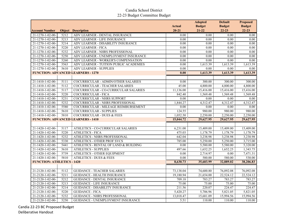|                                      |      |                                                                         | <b>Actual</b>     | <b>Adopted</b><br><b>Budget</b> | <b>Default</b><br><b>Budget</b> | <b>Proposed</b>            |
|--------------------------------------|------|-------------------------------------------------------------------------|-------------------|---------------------------------|---------------------------------|----------------------------|
| <b>Account Number</b>                |      | <b>Object Description</b>                                               | $20 - 21$         | $21-22$                         | $22 - 23$                       | <b>Budget</b><br>$22 - 23$ |
| 21-1270-1-02-00-                     | 5212 | ADV LEARNER - DENTAL INSURANCE                                          |                   | 0.00                            | 0.00                            |                            |
| 21-1270-1-02-00-                     | 5213 | ADV LEARNER - LIFE INSURANCE                                            | $0.00\,$<br>0.00  | 0.00                            | 0.00                            | $0.00\,$<br>0.00           |
| 21-1270-1-02-00-                     | 5214 | ADV LEARNER - DISABILITY INSURANCE                                      | $\overline{0.00}$ | 0.00                            | 0.00                            | $\overline{0.00}$          |
| 21-1270-1-02-00-                     | 5220 | ADV LEARNER - FICA                                                      | 0.00              | 0.00                            | 0.00                            | $\overline{0.00}$          |
| 21-1270-1-02-00-                     | 5232 |                                                                         | 0.00              | $0.00\,$                        | 0.00                            | 0.00                       |
|                                      | 5250 | ADV LEARNER - NHRS PROFESSIONAL<br>ADV LEARNER - UNEMPLOYMENT INSURANCE | 0.00              | 0.00                            | 0.00                            | 0.00                       |
| 21-1270-1-02-00-<br>21-1270-1-02-00- | 5260 |                                                                         | $\overline{0.00}$ | 0.00                            | 0.00                            | $\overline{0.00}$          |
|                                      |      | ADV LEARNER - WORKER'S COMPENSATION                                     |                   |                                 |                                 |                            |
| 21-1270-1-02-00-                     | 5563 | ADV LEARNER - TUITION PUBLIC ACADEMIES                                  | 0.00              | 1,613.39                        | 1,613.39                        | 1,613.39                   |
| 21-1270-1-02-00-                     | 5610 | <b>ADV LEARNER - SUPPLIES</b>                                           | 0.00              | 0.00                            | 0.00                            | 0.00                       |
|                                      |      | <b>FUNCTION: ADVANCED LEARNERS - 1270</b>                               | 0.00              | 1,613.39                        | 1,613.39                        | 1,613.39                   |
|                                      |      |                                                                         |                   |                                 |                                 |                            |
| 21-1410-1-02-00-                     | 5111 | COCURRICULAR - ADMIN/OTHER SALARIES                                     | 0.00              | 300.00                          | 300.00                          | 300.00                     |
| 21-1410-1-02-00-                     | 5112 | COCURRICULAR - TEACHER SALARIES                                         | 45.00             | 4,800.00                        | 4,800.00                        | 4,800.00                   |
| 21-1410-1-02-00-                     | 5117 | COCURRICULAR - CO-CURRICULAR SALARIES                                   | 11,136.00         | 15,416.00                       | 15,416.00                       | 15,416.00                  |
| 21-1410-1-02-00-                     | 5220 | COCURRICULAR - FICA                                                     | 842.40            | 1,569.48                        | 1,569.48                        | 1,569.48                   |
| 21-1410-1-02-00-                     | 5231 | COCURRICULAR - NHRS SUPPORT                                             | $0.00\,$          | 0.00                            | 0.00                            | $0.00\,$                   |
| 21-1410-1-02-00-                     | 5232 | COCURRICULAR - NHRS PROFESSIONAL                                        | 1,844.27          | 4,312.47                        | 4,312.47                        | 4,312.47                   |
| 21-1410-1-02-00-                     | 5580 | COCURRICULAR - MILEAGE REIMBURSEMENT                                    | 0.00              | $0.00\,$                        | 0.00                            | $0.00\,$                   |
| 21-1410-1-02-00-                     | 5610 | <b>COCURRICULAR - SUPPLIES</b>                                          | 124.55            | 980.00                          | 980.00                          | 980.00                     |
| 21-1410-1-02-00-                     | 5810 | <b>COCURRICULAR - DUES &amp; FEES</b>                                   | 1,052.50          | 2,250.00                        | 2,250.00                        | 2,250.00                   |
|                                      |      | <b>FUNCTION: ADVANCED LEARNERS - 1410</b>                               | 15,044.72         | 29,627.95                       | 29,627.95                       | 29,627.95                  |
|                                      |      |                                                                         |                   |                                 |                                 |                            |
| 21-1420-1-02-00-                     | 5117 | ATHLETICS - CO-CURRICULAR SALARIES                                      | 6,231.00          | 15,409.00                       | 15,409.00                       | 15,409.00                  |
| 21-1420-1-02-00-                     | 5220 | <b>ATHLETICS - FICA</b>                                                 | 475.03            | 1,178.79                        | 1,178.79                        | 1,178.79                   |
| 21-1420-1-02-00-                     | 5232 | ATHLETICS - NHRS PROFESSIONAL                                           | 642.04            | 3,238.98                        | 3,238.98                        | 3,238.98                   |
| 21-1420-1-02-00-                     | 5330 | ATHLETICS - OTHER PROF SVCS                                             | 785.00            | 5,250.00                        | 5,250.00                        | 3,715.00                   |
| 21-1420-1-02-00-                     | 5441 | ATHLETICS - RENTAL OF LAND & BUILDING                                   | $\overline{0.00}$ | 5,580.00                        | 5,580.00                        | 5,320.00                   |
| 21-1420-1-02-00-                     | 5610 | <b>ATHLETICS - SUPPLIES</b>                                             | 497.66            | 1,652.25                        | 1,652.25                        | 1,343.75                   |
| $21 - 1420 - 1 - 02 - 00$            | 5739 | ATHLETICS - OTHER EQUIPMENT                                             | 0.00              | 2,714.97                        | 0.00                            | 7,471.31                   |
| 21-1420-1-02-00-                     | 5810 | <b>ATHLETICS - DUES &amp; FEES</b>                                      | 0.00              | 580.00                          | 580.00                          | 530.00                     |
| <b>FUNCTION: ATHLETICS - 1420</b>    |      |                                                                         | 8,630.73          | 35,603.99                       | 32,889.02                       | 38,206.83                  |
|                                      |      |                                                                         |                   |                                 |                                 |                            |
| 21-2120-1-02-00-                     | 5112 | <b>GUIDANCE - TEACHER SALARIES</b>                                      | 73,138.04         | 74,600.80                       | 76,092.08                       | 76,092.08                  |
| 21-2120-1-02-00-                     | 5211 | <b>GUIDANCE - HEALTH INSURANCE</b>                                      | 19,180.94         | 21,654.00                       | 22,524.12                       | 22,524.12                  |
| 21-2120-1-02-00-                     | 5212 | <b>GUIDANCE - DENTAL INSURANCE</b>                                      | 709.18            | 783.27                          | 783.27                          | 783.27                     |
| 21-2120-1-02-00-                     | 5213 | <b>GUIDANCE - LIFE INSURANCE</b>                                        | 75.00             | 75.00                           | 75.00                           | 75.00                      |
| 21-2120-1-02-00-                     | 5214 | <b>GUIDANCE - DISABILITY INSURANCE</b>                                  | 211.56            | 220.07                          | 224.47                          | 224.47                     |
| 21-2120-1-02-00-                     | 5220 | <b>GUIDANCE - FICA</b>                                                  | 5,420.27          | 5,706.96                        | 5,821.05                        | 5,821.05                   |
| 21-2120-1-02-00-                     | 5232 | GUIDANCE - NHRS PROFESSIONAL                                            | 13,018.47         | 15,681.09                       | 15,994.56                       | 15,994.56                  |
| 21-2120-1-02-00-                     | 5250 | GUIDANCE - UNEMPLOYMENT INSURANCE                                       | 5.51              | 110.00                          | 110.00                          | 110.00                     |
|                                      |      |                                                                         |                   |                                 |                                 |                            |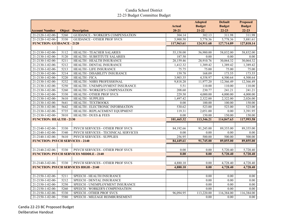|                                        |      |                                               |               | <b>Adopted</b> | <b>Default</b>    | <b>Proposed</b>   |
|----------------------------------------|------|-----------------------------------------------|---------------|----------------|-------------------|-------------------|
|                                        |      |                                               | <b>Actual</b> | <b>Budget</b>  | <b>Budget</b>     | <b>Budget</b>     |
| <b>Account Number</b>                  |      | <b>Object Description</b>                     | $20 - 21$     | $21 - 22$      | $22 - 23$         | $22 - 23$         |
| 21-2120-1-02-00-                       | 5260 | GUIDANCE - WORKER'S COMPENSATION              | 304.14        | 302.13         | 311.98            | 311.98            |
| 21-2120-1-02-00-                       | 5330 | <b>GUIDANCE - OTHER PROF SVCS</b>             | 5,900.50      | 5,778.36       | 5,778.36          | 5,881.61          |
| <b>FUNCTION: GUIDANCE - 2120</b>       |      |                                               | 117,963.61    | 124,911.68     | 127,714.89        | 127,818.14        |
|                                        |      |                                               |               |                |                   |                   |
| 21-2130-1-02-00-                       | 5112 | HEALTH - TEACHER SALARIES                     | 55,158.00     | 56,980.00      | 58,832.00         | 58,832.00         |
| 21-2130-1-02-00-                       | 5120 | HEALTH - SUBSTITUTE SALARIES                  | 187.50        | 0.00           | 0.00              | 0.00              |
| 21-2130-1-02-00-                       | 5211 | HEALTH - HEALTH INSURANCE                     | 28,159.46     | 28,910.76      | 30,064.32         | 30,064.32         |
| 21-2130-1-02-00-                       | 5212 | HEALTH - DENTAL INSURANCE                     | 1,412.32      | 1,389.42       | 1,389.42          | 1,389.42          |
| 21-2130-1-02-00-                       | 5213 | HEALTH - LIFE INSURANCE                       | 75.75         | 75.00          | 75.00             | 75.00             |
| 21-2130-1-02-00-                       | 5214 | <b>HEALTH - DISABILITY INSURANCE</b>          | 159.78        | 168.09         | 173.55            | 173.55            |
| 21-2130-1-02-00-                       | 5220 | <b>HEALTH - FICA</b>                          | 3,903.35      | 4,358.97       | 4,500.64          | 4,500.64          |
| 21-2130-1-02-00-                       | 5232 | HEALTH - NHRS PROFESSIONAL                    | 9,818.20      | 11,977.20      | 12,366.49         | 12,366.49         |
| 21-2130-1-02-00-                       | 5250 | HEALTH - UNEMPLOYMENT INSURANCE               | 5.51          | 110.00         | 110.00            | 110.00            |
| 21-2130-1-02-00-                       | 5260 | HEALTH - WORKER'S COMPENSATION                | 208.60        | 230.77         | 241.21            | 241.21            |
| 21-2130-1-02-00-                       | 5330 | HEALTH - OTHER PROF SVCS                      | 229.50        | 4,000.00       | 4,000.00          | 4,000.00          |
| 21-2130-1-02-00-                       | 5610 | <b>HEALTH - SUPPLIES</b>                      | 1,497.42      | 2,322.00       | 2,322.00          | 2,026.00          |
| 21-2130-1-02-00-                       | 5641 | HEALTH - TEXTBOOKS                            | 0.00          | 100.00         | 100.00            | 150.00            |
| 21-2130-1-02-00-                       | 5642 | HEALTH - ELECTRONIC INFORMATION               | 530.62        | 523.00         | 523.00            | 523.00            |
| 21-2130-1-02-00-                       | 5735 | HEALTH - REPLACEMENT EQUIPMENT                | 119.31        | 2,051.00       | 0.00              | 3,391.95          |
| 21-2130-1-02-00-                       | 5810 | <b>HEALTH - DUES &amp; FEES</b>               | 0.00          | 150.00         | 150.00            | 150.00            |
| <b>FUNCTION: HEALTH - 2130</b>         |      |                                               | 101,465.32    | 113,346.21     | 114,847.63        | 117,993.58        |
|                                        |      |                                               |               |                |                   |                   |
| 21-2140-1-02-00-                       | 5330 | PSYCH SERVICES - OTHER PROF SVCS              | 84,192.66     | 91,245.00      | 89,355.00         | 89,355.00         |
| 21-2140-1-02-00-                       | 5340 | PSYCH SERVICES - TECHNICAL SERVICES           | 0.00          | 0.00           | 0.00              | 0.00              |
| $21 - 2140 - 1 - 02 - 00$              | 5610 | PSYCH SERVICES - SUPPLIES                     | 256.95        | 500.00         | 500.00            | 500.00            |
| <b>FUNCTION: PSYCH SERVICES - 2140</b> |      |                                               | 84,449.61     | 91,745.00      | 89,855.00         | 89,855.00         |
|                                        |      |                                               |               |                |                   |                   |
| 21-2140-2-02-00-                       | 5330 | PSYCH SERVICES - OTHER PROF SVCS              | 0.00          | 0.00           | 5,720.40          | 5,720.40          |
|                                        |      | <b>FUNCTION: PSYCH SERVICES MIDDLE - 2140</b> | 0.00          | 0.00           | 5,720.40          | 5,720.40          |
|                                        |      |                                               |               |                |                   |                   |
| 21-2140-3-02-00-                       | 5330 | PSYCH SERVICES - OTHER PROF SVCS              | 4,880.10      | 0.00           | 4,728.40          | 4,728.40          |
|                                        |      | <b>FUNCTION: PSYCH SERVICES HIGH - 2140</b>   | 4,880.10      | 0.00           | 4,728.40          | 4,728.40          |
|                                        |      |                                               |               |                |                   |                   |
| 21-2150-1-02-00-                       | 5211 | SPEECH - HEALTH INSURANCE                     |               | 0.00           | 0.00              | 0.00              |
| 21-2150-1-02-00-                       | 5212 | SPEECH - DENTAL INSURANCE                     |               | 0.00           | 0.00              | 0.00              |
| 21-2150-1-02-00-                       | 5250 | SPEECH - UNEMPLOYMENT INSURANCE               |               | 0.00           | $\overline{0.00}$ | $\overline{0.00}$ |
| 21-2150-1-02-00-                       | 5260 | SPEECH - WORKER'S COMPENSATION                |               | 0.00           | 0.00              | 0.00              |
| 21-2150-1-02-00-                       | 5330 | SPEECH - OTHER PROF SVCS                      | 96,094.95     | 113,220.00     | 116,384.00        | 116,384.00        |
| 21-2150-1-02-00-                       | 5580 | SPEECH - MILEAGE REIMBURSEMENT                |               | 0.00           | 0.00              | 0.00              |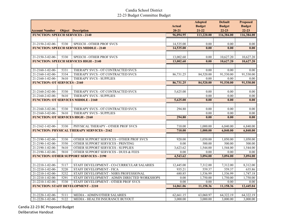|                                          |                   |                                                   | <b>Actual</b> | <b>Adopted</b><br><b>Budget</b> | <b>Default</b><br><b>Budget</b> | <b>Proposed</b><br><b>Budget</b> |
|------------------------------------------|-------------------|---------------------------------------------------|---------------|---------------------------------|---------------------------------|----------------------------------|
| <b>Account Number</b>                    |                   | <b>Object</b> Description                         | $20 - 21$     | $21 - 22$                       | $22 - 23$                       | $22 - 23$                        |
| <b>FUNCTION: SPEECH SERVICES - 2140</b>  |                   |                                                   | 96,094.95     | 113,220.00                      | 116,384.00                      | 116,384.00                       |
|                                          |                   |                                                   |               |                                 |                                 |                                  |
| $21 - 2150 - 2 - 02 - 00 -$              | 5330              | <b>SPEECH - OTHER PROF SVCS</b>                   | 14,535.00     | 0.00                            | 0.00                            | 0.00                             |
|                                          |                   | <b>FUNCTION: SPEECH SERVICES MIDDLE - 2140</b>    | 14,535.00     | 0.00                            | 0.00                            | 0.00                             |
|                                          |                   |                                                   |               |                                 |                                 |                                  |
| 21-2150-3-02-00-                         | 5330              | SPEECH - OTHER PROF SVCS                          | 13,002.60     | 0.00                            | 10,627.20                       | 10,627.20                        |
|                                          |                   | <b>FUNCTION: SPEECH SERVICES HIGH - 2140</b>      | 13,002.60     | 0.00                            | 10,627.20                       | 10,627.20                        |
|                                          |                   |                                                   |               |                                 |                                 |                                  |
| $21 - 2160 - 1 - 02 - 00$                | 5331              | THERAPY SVCS - OT CONTRACTED SVCS                 |               | 0.00                            | 0.00                            | 0.00                             |
| 21-2160-1-02-00-                         | 5334              | THERAPY SVCS - OT CONTRACTED SVCS                 | 86,731.25     | 84,520.00                       | 91,530.00                       | 91,530.00                        |
| 21-2160-1-02-00-                         | 5610              | <b>THERAPY SVCS - SUPPLIES</b>                    |               | 0.00                            | $0.00\,$                        | 0.00                             |
| <b>FUNCTION: OT SERVICES - 2160</b>      |                   |                                                   | 86,731.25     | 84,520.00                       | 91,530.00                       | 91,530.00                        |
|                                          |                   |                                                   |               |                                 |                                 |                                  |
| 21-2160-2-02-00-                         | 5330              | THERAPY SVCS - OT CONTRACTED SVCS                 | 5,625.00      | 0.00                            | 0.00                            | $0.00\,$                         |
| 21-2160-2-02-00-                         | 5610              | THERAPY SVCS - SUPPLIES                           |               | 0.00                            | 0.00                            | 0.00                             |
|                                          |                   | <b>FUNCTION: OT SERVICES MIDDLE - 2160</b>        | 5,625.00      | 0.00                            | 0.00                            | 0.00                             |
|                                          |                   |                                                   |               |                                 |                                 |                                  |
| 21-2160-3-02-00-                         | 5330              | THERAPY SVCS - OT CONTRACTED SVCS                 | 294.80        | 0.00                            | 0.00                            | 0.00                             |
| 21-2160-3-02-00-                         | 5610              | <b>THERAPY SVCS - SUPPLIES</b>                    |               | 0.00                            | 0.00                            | 0.00                             |
| <b>FUNCTION: OT SERVICES HIGH - 2160</b> |                   |                                                   | 294.80        | 0.00                            | 0.00                            | 0.00                             |
|                                          |                   |                                                   |               |                                 |                                 |                                  |
| 21-2162-1-02-00-                         | 5330              | PHYSICAL THERAPY - OTHER PROF SVCS                | 710.00        | 1,000.00                        | 6,840.00                        | 6,840.00                         |
|                                          |                   | <b>FUNCTION: PHYSICAL THERAPY SERVICES - 2162</b> | 710.00        | 1,000.00                        | 6,840.00                        | 6,840.00                         |
|                                          |                   |                                                   |               |                                 |                                 |                                  |
| 21-2190-1-02-00-                         | 5330              | OTHER SUPPORT SERVICES - OTHER PROF SVCS          | 920.00        | 1,050.00                        | 1,050.00                        | 1,050.00                         |
| 21-2190-1-02-00-                         | 5550              | OTHER SUPPORT SERVICES - PRINTING                 | 0.00          | 500.00                          | 500.00                          | 500.00                           |
| 21-2190-1-02-00-                         | 5610              | OTHER SUPPORT SERVICES - SUPPLIES                 | 3,623.62      | 1,544.00                        | 1,544.00                        | 1,544.00                         |
| 21-2190-1-02-00-                         | 5810              | OTHER SUPPORT SERVICES - DUES & FEES              | $0.00\,$      | 0.00                            | 0.00                            | 0.00                             |
|                                          |                   | <b>FUNCTION: OTHER SUPPORT SERVICES - 2190</b>    | 4,543.62      | 3,094.00                        | 3,094.00                        | 3,094.00                         |
|                                          |                   |                                                   |               |                                 |                                 |                                  |
| 21-2210-1-02-00-                         | 5117              | STAFF DEVELOPMENT - CO-CURRICULAR SALARIES        | 12,445.00     | 7,312.00                        | 7,312.00                        | 8,312.00                         |
| 21-2210-1-02-00-                         | 5220              | <b>STAFF DEVELOPMENT - FICA</b>                   | 935.21        | 559.37                          | 559.37                          | 635.86                           |
| 21-2210-1-02-00-                         | 5232              | STAFF DEVELOPMENT - NHRS PROFESSIONAL             | 680.85        | 1,536.99                        | 1,536.99                        | 1,747.18                         |
| 21-2210-1-02-00-                         | 5291              | STAFF DEVELOPMENT - ADMIN DIRECTED WORKSHOPS      | 0.00          | 1,750.00                        | 1,750.00                        | 1,750.00                         |
| 21-2210-1-02-00-                         | 5330              | STAFF DEVELOPMENT - OTHER PROF SVCS               | 0.00          | 0.00                            | 0.00                            | 0.00                             |
|                                          |                   | <b>FUNCTION: STAFF DEVELOPMENT - 2210</b>         | 14,061.06     | 11,158.36                       | 11,158.36                       | 12,445.04                        |
|                                          |                   |                                                   |               |                                 |                                 |                                  |
| 21-2220-1-02-00-                         | 5111              | MEDIA - ADMIN/OTHER SALARIES                      | 62,661.15     | 63,060.97                       | 64,322.19                       | 64,322.19                        |
| 21-2220-1-02-00-                         | $\overline{5122}$ | MEDIA - HEALTH INSURANCE BUYOUT                   | 3,000.00      | 3,000.00                        | 3,000.00                        | 3,000.00                         |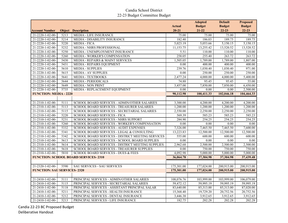|                                    |      |                                                   |                        | <b>Adopted</b> | <b>Default</b> | <b>Proposed</b> |
|------------------------------------|------|---------------------------------------------------|------------------------|----------------|----------------|-----------------|
|                                    |      |                                                   | <b>Actual</b>          | <b>Budget</b>  | <b>Budget</b>  | <b>Budget</b>   |
| <b>Account Number</b>              |      | <b>Object</b> Description                         | $20 - 21$              | $21 - 22$      | $22 - 23$      | $22 - 23$       |
| 21-2220-1-02-00-                   | 5213 | <b>MEDIA - LIFE INSURANCE</b>                     | 75.00                  | 75.00          | 75.00          | 75.00           |
| 21-2220-1-02-00-                   | 5214 | MEDIA - DISABILITY INSURANCE                      | 182.40                 | 186.03         | 189.75         | 189.75          |
| 21-2220-1-02-00-                   | 5220 | <b>MEDIA - FICA</b>                               | 5,023.19               | 5,053.66       | 5,150.15       | 5,150.15        |
| 21-2220-1-02-00-                   | 5232 | MEDIA - NHRS PROFESSIONAL                         | 11,153.75              | 13,255.42      | 13,520.52      | 13,520.52       |
| 21-2220-1-02-00-                   | 5250 | MEDIA - UNEMPLOYMENT INSURANCE                    | 5.51                   | 110.00         | 110.00         | 110.00          |
| 21-2220-1-02-00-                   | 5260 | MEDIA - WORKER'S COMPENSATION                     | 258.05                 | 255.40         | 263.72         | 263.72          |
| 21-2220-1-02-00-                   | 5430 | MEDIA - REPAIRS & MAINT SERVICES                  | 1,505.05               | 1,789.00       | 1,789.00       | 1,807.00        |
| 21-2220-1-02-00-                   | 5431 | <b>MEDIA - REPAIRS EQUIPMENT</b>                  | 0.00                   | 400.00         | 400.00         | 400.00          |
| 21-2220-1-02-00-                   | 5610 | <b>MEDIA - SUPPLIES</b>                           | 239.76                 | 1,030.40       | 1,030.40       | 971.00          |
| 21-2220-1-02-00-                   | 5615 | <b>MEDIA - AV SUPPLIES</b>                        | 0.00                   | 250.00         | 250.00         | 250.00          |
| 21-2220-1-02-00-                   | 5641 | MEDIA - TEXTBOOKS                                 | 2,477.24               | 4,000.00       | 4,000.00       | 5,400.00        |
| 21-2220-1-02-00-                   | 5644 | <b>MEDIA - PERIODICALS</b>                        | 74.88                  | 95.45          | 95.45          | 55.00           |
| 21-2220-1-02-00-                   | 5649 | <b>MEDIA - NON PRINT</b>                          | 3,457.00               | 7,850.00       | 7,850.00       | 6,450.00        |
| 21-2220-1-02-00-                   | 5735 | MEDIA - REPLACEMENT EQUIPMENT                     | $\overline{0.00}$      | 0.00           | 0.00           | 2,500.00        |
| <b>FUNCTION: MEDIA - 2220</b>      |      |                                                   | 90,112.98              | 100,411.33     | 102,046.18     | 104,464.33      |
|                                    |      |                                                   |                        |                |                |                 |
| 21-2310-1-02-00-                   | 5111 | SCHOOL BOARD SERVICES - ADMIN/OTHER SALARIES      | 3,300.00               | 4,200.00       | 4,200.00       | 4,200.00        |
| $21 - 2310 - 1 - 02 - 00$          | 5113 | <b>SCHOOL BOARD SERVICES - TREASURER SALARIES</b> | 1,200.00               | 1,200.00       | 1,200.00       | 1,200.00        |
| 21-2310-1-02-00-                   | 5115 | SCHOOL BOARD SERVICES - SECRETARIAL SALARIES      | 2,550.00               | 2,250.00       | 2,250.00       | 2,250.00        |
| 21-2310-1-02-00-                   | 5220 | <b>SCHOOL BOARD SERVICES - FICA</b>               | 569.39                 | 585.23         | 585.23         | 585.23          |
| 21-2310-1-02-00-                   | 5231 | SCHOOL BOARD SERVICES - NHRS SUPPORT              | 284.90                 | 254.25         | 254.25         | 254.25          |
| 21-2310-1-02-00-                   | 5260 | SCHOOL BOARD SERVICES - WORKER'S COMPENSATION     | 0.00                   | 0.00           | 0.00           | 0.00            |
| 21-2310-1-02-00-                   | 5332 | SCHOOL BOARD SERVICES - AUDIT EXPENSES            | 7,326.00               | 7,465.50       | 7,465.50       | 7,600.00        |
| 21-2310-1-02-00-                   | 5341 | SCHOOL BOARD SERVICES - LEGAL & CONSULTING        | 13,223.83              | 12,500.00      | 12,500.00      | 12,500.00       |
| 21-2310-1-02-00-                   | 5342 | SCHOOL BOARD SERVICES - DISTRICT MEETING SERVICES | 555.00                 | 600.00         | 600.00         | 600.00          |
| 21-2310-1-02-00-                   | 5613 | SCHOOL BOARD SERVICES - SCHOOL BOARD SUPPLIES     | 0.00                   | 0.00           | 0.00           | 0.00            |
| 21-2310-1-02-00-                   | 5614 | SCHOOL BOARD SERVICES - DISTRICT MEETING SUPPLIES | 2,962.68               | 2,500.00       | 2,500.00       | 2,500.00        |
| 21-2310-1-02-00-                   | 5618 | SCHOOL BOARD SERVICES - TREASURER SUPPLIES        | 0.00                   | 750.00         | 750.00         | 750.00          |
| 21-2310-1-02-00-                   | 5810 | <b>SCHOOL BOARD SERVICES - DUES &amp; FEES</b>    | 4,092.98               | 5.000.00       | 5,000.00       | 5,000.00        |
|                                    |      | <b>FUNCTION: SCHOOL BOARD SERVICES-2310</b>       | 36,064.78              | 37,304.98      | 37,304.98      | 37,439.48       |
|                                    |      |                                                   |                        |                |                |                 |
| 21-2320-1-02-00-                   | 5590 | SAU SERVICES - SAU SERVICES                       | 175,301.00             | 177,024.00     | 200,915.00     | 200,915.00      |
| <b>FUNCTION: SAU SERVICES-2320</b> |      |                                                   | 175,301.00             | 177,024.00     | 200,915.00     | 200,915.00      |
|                                    |      |                                                   |                        |                |                |                 |
| 21-2410-1-02-00-                   | 5111 | PRINCIPAL SERVICES - ADMIN/OTHER SALARIES         | 108,076.76             | 103,999.00     | 103,999.00     | 106,079.00      |
| 21-2410-1-02-00-                   | 5115 | PRINCIPAL SERVICES - SECRETARIAL SALARIES         | 59,472.12              | 59,995.19      | 59,995.19      | 59,995.19       |
| 21-2410-1-02-00-                   | 5118 | PRINCIPAL SERVICES - ASSISTANT PRINCIPAL SALAR    | $\overline{83,640.00}$ | 85,313.00      | 85,313.00      | 87,020.00       |
| 21-2410-1-02-00-                   | 5211 | PRINCIPAL SERVICES - HEALTH INSURANCE             | 15,368.40              | 19,729.20      | 20,752.56      | 20,752.56       |
| 21-2410-1-02-00-                   | 5212 | PRINCIPAL SERVICES - DENTAL INSURANCE             | 3,446.38               | 3,912.65       | 3,912.65       | 3,912.65        |
| $21 - 2410 - 1 - 02 - 00$          | 5213 | PRINCIPAL SERVICES - LIFE INSURANCE               | 182.75                 | 202.28         | 202.28         | 202.28          |

Candia 22-23 BC Proposed Budget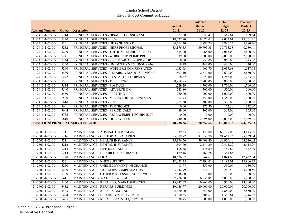|                                          |      |                                               |               | <b>Adopted</b> | <b>Default</b>         | <b>Proposed</b> |
|------------------------------------------|------|-----------------------------------------------|---------------|----------------|------------------------|-----------------|
|                                          |      |                                               | <b>Actual</b> | <b>Budget</b>  | <b>Budget</b>          | <b>Budget</b>   |
| <b>Account Number</b>                    |      | <b>Object Description</b>                     | $20 - 21$     | $21 - 22$      | $22 - 23$              | $22 - 23$       |
| 21-2410-1-02-00-                         | 5214 | PRINCIPAL SERVICES - DISABILITY INSURANCE     | 521.00        | 558.47         | 569.64                 | 569.64          |
| 21-2410-1-02-00-                         | 5220 | PRINCIPAL SERVICES - FICA                     | 18,727.70     | 19,072.01      | 19,072.01              | 19,361.71       |
| 21-2410-1-02-00-                         | 5231 | PRINCIPAL SERVICES - NHRS SUPPORT             | 4,564.30      | 5,880.26       | 5,880.26               | 5,880.26        |
| 21-2410-1-02-00-                         | 5232 | PRINCIPAL SERVICES - NHRS PROFESSIONAL        | 33,176.55     | 39,793.38      | 39,793.38              | 40,589.41       |
| 21-2410-1-02-00-                         | 5240 | PRINCIPAL SERVICES - TUITION REIMBURSEMENT    | 1,855.00      | 7,065.00       | 7,065.00               | 6,600.00        |
| 21-2410-1-02-00-                         | 5241 | PRINCIPAL SERVICES - WORKSHOP REIMB PROF      | 639.00        | 2,000.00       | 2,000.00               | 2,000.00        |
| 21-2410-1-02-00-                         | 5244 | PRINCIPAL SERVICES - SECRETARIAL WORKSHOP     | 0.00          | 850.00         | 850.00                 | 425.00          |
| 21-2410-1-02-00-                         | 5250 | PRINCIPAL SERVICES - UNEMPLOYMENT INSURANCE   | 19.28         | 440.00         | 440.00                 | 440.00          |
| 21-2410-1-02-00-                         | 5260 | PRINCIPAL SERVICES - WORKER'S COMPENSATION    | 1,033.63      | 1,009.70       | 1,037.68               | 1,037.68        |
| 21-2410-1-02-00-                         | 5430 | PRINCIPAL SERVICES - REPAIRS & MAINT SERVICES | 1,503.10      | 2,630.00       | 2,630.00               | 2,630.00        |
| 21-2410-1-02-00-                         | 5442 | PRINCIPAL SERVICES - RENTAL OF EQUIPMENT      | 1,618.32      | 2,520.00       | 1,253.00               | 1,253.00        |
| 21-2410-1-02-00-                         | 5531 | PRINCIPAL SERVICES - TELEPHONE                | 8,958.85      | 7,800.00       | 7,800.00               | 7,800.00        |
| 21-2410-1-02-00-                         | 5534 | PRINCIPAL SERVICES - POSTAGE                  | 1,229.29      | 1,700.00       | 1,700.00               | 1,700.00        |
| 21-2410-1-02-00-                         | 5540 | PRINCIPAL SERVICES - ADVERTISING              | 248.80        | 500.00         | 500.00                 | 500.00          |
| 21-2410-1-02-00-                         | 5550 | PRINCIPAL SERVICES - PRINTING                 | 260.00        | 1,000.00       | 1,000.00               | 500.00          |
| 21-2410-1-02-00-                         | 5580 | PRINCIPAL SERVICES - MILEAGE REIMBURSEMENT    | 652.73        | 1,350.00       | 1,350.00               | 1,000.00        |
| 21-2410-1-02-00-                         | 5610 | PRINCIPAL SERVICES - SUPPLIES                 | 1,715.30      | 300.00         | 300.00                 | 1,500.00        |
| 21-2410-1-02-00-                         | 5641 | PRINCIPAL SERVICES - TEXTBOOKS                | 0.00          | 172.50         | 172.50                 | 172.00          |
| 21-2410-1-02-00-                         | 5644 | PRINCIPAL SERVICES - PERIODICALS              | 89.00         | 365.00         | 365.00                 | 365.00          |
| 21-2410-1-02-00-                         | 5735 | PRINCIPAL SERVICES - REPLACEMENT EQUIPMENT    | 0.00          | 0.00           | 0.00                   | 0.00            |
| 21-2410-1-02-00-                         | 5810 | PRINCIPAL SERVICES - DUES & FEES              | 1,740.00      | 2,095.00       | 2,095.00               | 2,039.95        |
| <b>FUNCTION: PRINCIPAL SERVICES-2410</b> |      |                                               | 348,738.26    | 370,252.64     | 370,048.15             | 374, 325. 33    |
|                                          |      |                                               |               |                |                        |                 |
| 21-2600-1-02-00-                         | 5111 | MAINTENANCE - ADMIN/OTHER SALARIES            | 61,939.53     | 63,179.00      | 63,179.00              | 64,443.00       |
| 21-2600-1-02-00-                         | 5116 | MAINTENANCE - CUSTODIAL SALARIES              | 85,709.72     | 91,652.76      | 91,652.76              | 98,139.34       |
| 21-2600-1-02-00-                         | 5211 | MAINTENANCE - HEALTH INSURANCE                | 35,396.56     | 59,909.40      | 59,909.40              | 63,016.92       |
| 21-2600-1-02-00-                         | 5212 | MAINTENANCE - DENTAL INSURANCE                | 1,504.70      | 2,414.29       | 2,414.29               | 2,414.29        |
| 21-2600-1-02-00-                         | 5213 | MAINTENANCE - LIFE INSURANCE                  | 118.56        | 148.89         | 147.69                 | 147.69          |
| 21-2600-1-02-00-                         | 5214 | MAINTENANCE - DISABILITY INSURANCE            | 179.16        | 360.76         | 361.65                 | 361.65          |
| 21-2600-1-02-00-                         | 5220 | MAINTENANCE - FICA                            | 10,626.07     | 11,844.63      | 11,844.63              | 12,437.54       |
| 21-2600-1-02-00-                         | 5231 | MAINTENANCE - NHRS SUPPORT                    | 12,052.45     | 17,194.01      | 17,194.01              | 17,906.27       |
| 21-2600-1-02-00-                         | 5250 | MAINTENANCE - UNEMPLOYMENT INSURANCE          | 13.77         | 550.00         | 550.00                 | 550.00          |
| 21-2600-1-02-00-                         | 5260 | MAINTENANCE - WORKER'S COMPENSATION           | 3,242.99      | 3,272.17       | 3,260.50               | 3,260.50        |
| 21-2600-1-02-00-                         | 5330 | MAINTENANCE - OTHER PROFESSIONAL SERVICES     | 27,848.00     | 0.00           | $0.00\,$               | 0.00            |
| 21-2600-1-02-00-                         | 5411 | MAINTENANCE - WATER/SEWERAGE                  | 7,226.00      | 6,835.85       | 6,835.85               | 8,160.00        |
| 21-2600-1-02-00-                         | 5430 | MAINTENANCE - REPAIRS & MAINT SERVICES        | 15,247.67     | 10,960.00      | 10,960.00              | 13,300.00       |
| 21-2600-1-02-00-                         | 5432 | MAINTENANCE - REPAIRS BUILDINGS               | 19,946.77     | 20,000.00      | $\overline{20,000.00}$ | 20,000.00       |
| 21-2600-1-02-00-                         | 5433 | MAINTENANCE - REPAIRS GROUNDS                 | 5,680.00      | 7,850.00       | 7,850.00               | 8,850.00        |
| 21-2600-1-02-00-                         | 5434 | MAINTENANCE - BUILDING IMPROVEMENTS           | 23,350.35     | 1,386.61       | 1,386.61               | 35,246.57       |
| 21-2600-1-02-00-                         | 5435 | MAINTENANCE - REPAIRS MAINT EQUIPMENT         | 338.75        | 1,000.00       | 1,000.00               | 1,000.00        |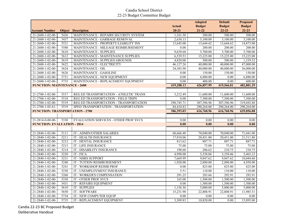|                                        |                  |                                              |                   | <b>Adopted</b>        | <b>Default</b> | <b>Proposed</b>  |
|----------------------------------------|------------------|----------------------------------------------|-------------------|-----------------------|----------------|------------------|
|                                        |                  |                                              | <b>Actual</b>     | <b>Budget</b>         | <b>Budget</b>  | <b>Budget</b>    |
| <b>Account Number</b>                  |                  | <b>Object Description</b>                    | $20 - 21$         | $21 - 22$             | $22 - 23$      | $22 - 23$        |
| 21-2600-1-02-00-                       | 5436             | MAINTENANCE - REPAIRS SECURITY SYSTEM        | 1,161.50          | 500.00                | 500.00         | 500.00           |
| 21-2600-1-02-00-                       | 5437             | MAINTENANCE - GARBAGE REMOVAL                | 2,630.13          | $\overline{5,100.00}$ | 5,100.00       | 5,100.00         |
| 21-2600-1-02-00-                       | 5521             | MAINTENANCE - PROPERTY/LIABILITY INS         | 13,645.00         | 13,644.62             | 13,644.62      | 14,873.00        |
| $21 - 2600 - 1 - 02 - 00$              | 5580             | MAINTENANCE - MILEAGE REIMBURSEMENT          | 0.00              | 200.00                | 200.00         | 200.00           |
| 21-2600-1-02-00-                       | 5610             | MAINTENANCE - SUPPLIES                       | 9,639.68          | 5,700.00              | 5,700.00       | 5,700.00         |
| 21-2600-1-02-00-                       | 5612             | MAINTENANCE - MAINTENANCE SUPPLIES           | 6,539.53          | 15,225.00             | 15,225.00      | 15,225.00        |
| $21 - 2600 - 1 - 02 - 00$              | 5619             | MAINTENANCE - SUPPLIES GROUNDS               | 4,820.00          | 500.00                | 500.00         | 1,339.52         |
| 21-2600-1-02-00-                       | 5622             | MAINTENANCE - ELECTRICITY                    | 46,127.26         | 40,000.00             | 40,000.00      | 47,000.00        |
| 21-2600-1-02-00-                       | 5624             | MAINTENANCE - OIL                            | 24,303.98         | 40,000.00             | 40,000.00      | 36,000.00        |
| 21-2600-1-02-00-                       | 5626             | MAINTENANCE - GASOLINE                       | 0.00              | 150.00                | 150.00         | 150.00           |
| 21-2600-1-02-00-                       | 5731             | MAINTENANCE - NEW EQUIPMENT                  | 0.00              | 6,880.00              | 0.00           | 6,880.00         |
| 21-2600-1-02-00-                       | 5735             | MAINTENANCE - REPLACEMENT EQUIPMENT          | $\overline{0.00}$ | 400.00                | 0.00           | 600.00           |
| <b>FUNCTION: MAINTENANCE - 2600</b>    |                  |                                              | 419,288.13        | 426,857.99            | 419,566.01     | 482,801.29       |
|                                        |                  |                                              |                   |                       |                |                  |
| 21-2700-1-02-00-                       | $\sqrt{5517}$    | REG ED TRANSPORTATION - ATHLETIC TRANS       | 3,212.49          | 11,600.00             | 11,600.00      | 11,600.00        |
| 21-2700-1-02-00-                       | 5518             | REG ED TRANSPORTATION - FIELD TRIPS          | 0.00              | 7,500.00              | 7,500.00       | 7,500.00         |
| 21-2700-1-02-00-                       | 5519             | REG ED TRANSPORTATION - TRANSPORTATION       | 298,745.71        | 307,396.96            | 307,396.96     | 319,692.88       |
| $21 - 2700 - 1 - 02 - 61 -$            | $\frac{5519}{ }$ | SPED TRANSPORTATION - TRANSPORTATION         | 84,434.83         | 290,264.00            | 290,264.00     | 290,264.00       |
| <b>FUNCTION: TRANSPORTATION - 2700</b> |                  |                                              | 386,393.03        | 616,760.96            | 616,760.96     | 629,056.88       |
|                                        |                  |                                              |                   |                       |                |                  |
| 21-2814-0-00-00-                       | 5330             | <b>EVALUATION SERVICES - OTHER PROF SVCS</b> | 0.00              | 0.00                  | 0.00           | 0.00             |
| <b>FUNCTION: EVALUATION - 2814</b>     |                  |                                              | 0.00              | 0.00                  | 0.00           | 0.00             |
|                                        |                  |                                              |                   |                       |                |                  |
|                                        |                  |                                              |                   |                       |                |                  |
| 21-2840-1-02-00-                       | 5111             | IT - ADMIN/OTHER SALARIES                    | 68,666.40         | 70,040.00             | 70,040.00      | 71,441.00        |
| 21-2840-1-02-00-                       | 5211             | IT - HEALTH INSURANCE                        | 17,910.06         | 20,451.00             | 20,451.00      | 21,511.80        |
| 21-2840-1-02-00-                       | 5212             | IT - DENTAL INSURANCE                        | 813.62            | 887.71                | 887.71         | 887.71           |
| 21-2840-1-02-00-                       | $\sqrt{5213}$    | <b>IT - LIFE INSURANCE</b>                   | 75.00             | 75.00                 | 75.00          | 75.00            |
| 21-2840-1-02-00-                       | 5214             | IT - DISABILITY INSURANCE                    | 198.60            | 206.62                | 210.75         | 210.75           |
| 21-2840-1-02-00-                       | 5220             | IT-FICA                                      | 4,998.00          | 5,358.06              | 5,358.06       | 5,465.23         |
| 21-2840-1-02-00-                       | 5231             | <b>IT - NHRS SUPPORT</b>                     | 7,669.99          | 9,847.62              | 9,847.62       | 10,044.60        |
| 21-2840-1-02-00-                       | 5240             | IT - TUITION REIMBURSEMENT                   | 1,920.00          | 2,880.00              | 2,880.00       | 4,950.00         |
| 21-2840-1-02-00-                       | 5241             | IT - WORKSHOP REIMB PROF                     | 0.00              |                       | 825.00         |                  |
| 21-2840-1-02-00-                       | 5250             | IT - UNEMPLOYMENT INSURANCE                  | 5.51              | 825.00<br>110.00      | 110.00         | 825.00<br>110.00 |
| 21-2840-1-02-00-                       | 5260             | IT - WORKER'S COMPENSATION                   | 291.25            |                       | 292.91         | 292.91           |
| 21-2840-1-02-00-                       | 5330             | <b>IT - OTHER PROF SVCS</b>                  | 165.00            | 283.66<br>1,500.00    | 1,500.00       | 1,500.00         |
| 21-2840-1-02-00-                       | 5431             | IT - REPAIRS EQUIPMENT                       | 0.00              | 1,500.00              | 1,500.00       | 1.500.00         |
| 21-2840-1-02-00-                       | 5610             | <b>IT - SUPPLIES</b>                         | 1,156.56          | 5,000.00              | 5,000.00       | 5,000.00         |
| 21-2840-1-02-00-                       | 5650             | IT - SOFTWARE                                | 15,231.98         | 22,808.91             | 22,808.91      | 11,985.51        |
| 21-2840-1-02-00-                       | 5734             | IT - NEW COMPUTER EQUIP                      | $\overline{0.00}$ | 0.00                  | 0.00           | 0.00             |